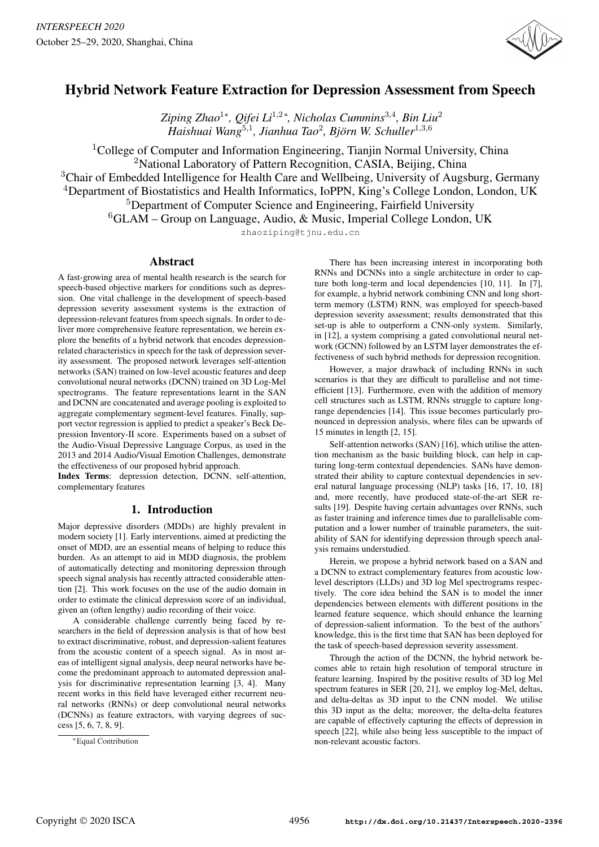

# Hybrid Network Feature Extraction for Depression Assessment from Speech

*Ziping Zhao*<sup>1</sup> *, Qifei Li*<sup>1</sup>,<sup>2</sup> *, Nicholas Cummins*<sup>3</sup>,<sup>4</sup> *, Bin Liu*<sup>2</sup> *Haishuai Wang*<sup>5</sup>,<sup>1</sup> *, Jianhua Tao*<sup>2</sup> *, Bjorn W. Schuller ¨* 1,3,6 \*  $\bigcap$ ifai I i $^{1,2*}$ 

<sup>1</sup>College of Computer and Information Engineering, Tianjin Normal University, China <sup>2</sup>National Laboratory of Pattern Recognition, CASIA, Beijing, China

<sup>3</sup>Chair of Embedded Intelligence for Health Care and Wellbeing, University of Augsburg, Germany

<sup>4</sup>Department of Biostatistics and Health Informatics, IoPPN, King's College London, London, UK

<sup>5</sup>Department of Computer Science and Engineering, Fairfield University

 ${}^{6}$ GLAM – Group on Language, Audio, & Music, Imperial College London, UK

zhaoziping@tjnu.edu.cn

## Abstract

A fast-growing area of mental health research is the search for speech-based objective markers for conditions such as depression. One vital challenge in the development of speech-based depression severity assessment systems is the extraction of depression-relevant features from speech signals. In order to deliver more comprehensive feature representation, we herein explore the benefits of a hybrid network that encodes depressionrelated characteristics in speech for the task of depression severity assessment. The proposed network leverages self-attention networks (SAN) trained on low-level acoustic features and deep convolutional neural networks (DCNN) trained on 3D Log-Mel spectrograms. The feature representations learnt in the SAN and DCNN are concatenated and average pooling is exploited to aggregate complementary segment-level features. Finally, support vector regression is applied to predict a speaker's Beck Depression Inventory-II score. Experiments based on a subset of the Audio-Visual Depressive Language Corpus, as used in the 2013 and 2014 Audio/Visual Emotion Challenges, demonstrate the effectiveness of our proposed hybrid approach.

Index Terms: depression detection, DCNN, self-attention, complementary features

## 1. Introduction

Major depressive disorders (MDDs) are highly prevalent in modern society [1]. Early interventions, aimed at predicting the onset of MDD, are an essential means of helping to reduce this burden. As an attempt to aid in MDD diagnosis, the problem of automatically detecting and monitoring depression through speech signal analysis has recently attracted considerable attention [2]. This work focuses on the use of the audio domain in order to estimate the clinical depression score of an individual, given an (often lengthy) audio recording of their voice.

A considerable challenge currently being faced by researchers in the field of depression analysis is that of how best to extract discriminative, robust, and depression-salient features from the acoustic content of a speech signal. As in most areas of intelligent signal analysis, deep neural networks have become the predominant approach to automated depression analysis for discriminative representation learning [3, 4]. Many recent works in this field have leveraged either recurrent neural networks (RNNs) or deep convolutional neural networks (DCNNs) as feature extractors, with varying degrees of success [5, 6, 7, 8, 9].

There has been increasing interest in incorporating both RNNs and DCNNs into a single architecture in order to capture both long-term and local dependencies [10, 11]. In [7], for example, a hybrid network combining CNN and long shortterm memory (LSTM) RNN, was employed for speech-based depression severity assessment; results demonstrated that this set-up is able to outperform a CNN-only system. Similarly, in [12], a system comprising a gated convolutional neural network (GCNN) followed by an LSTM layer demonstrates the effectiveness of such hybrid methods for depression recognition.

However, a major drawback of including RNNs in such scenarios is that they are difficult to parallelise and not timeefficient [13]. Furthermore, even with the addition of memory cell structures such as LSTM, RNNs struggle to capture longrange dependencies [14]. This issue becomes particularly pronounced in depression analysis, where files can be upwards of 15 minutes in length [2, 15].

Self-attention networks (SAN) [16], which utilise the attention mechanism as the basic building block, can help in capturing long-term contextual dependencies. SANs have demonstrated their ability to capture contextual dependencies in several natural language processing (NLP) tasks [16, 17, 10, 18] and, more recently, have produced state-of-the-art SER results [19]. Despite having certain advantages over RNNs, such as faster training and inference times due to parallelisable computation and a lower number of trainable parameters, the suitability of SAN for identifying depression through speech analysis remains understudied.

Herein, we propose a hybrid network based on a SAN and a DCNN to extract complementary features from acoustic lowlevel descriptors (LLDs) and 3D log Mel spectrograms respectively. The core idea behind the SAN is to model the inner dependencies between elements with different positions in the learned feature sequence, which should enhance the learning of depression-salient information. To the best of the authors' knowledge, this is the first time that SAN has been deployed for the task of speech-based depression severity assessment.

Through the action of the DCNN, the hybrid network becomes able to retain high resolution of temporal structure in feature learning. Inspired by the positive results of 3D log Mel spectrum features in SER [20, 21], we employ log-Mel, deltas, and delta-deltas as 3D input to the CNN model. We utilise this 3D input as the delta; moreover, the delta-delta features are capable of effectively capturing the effects of depression in speech [22], while also being less susceptible to the impact of non-relevant acoustic factors.

<sup>∗</sup>Equal Contribution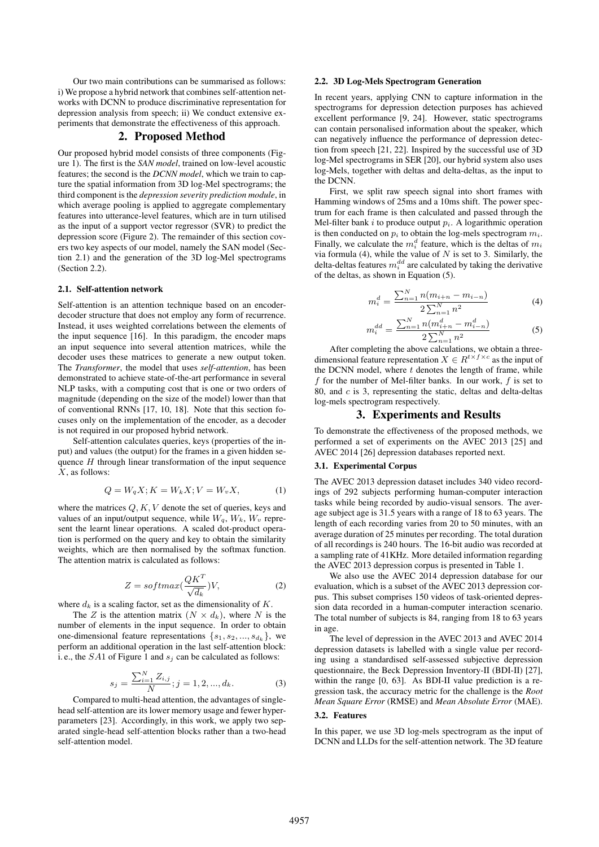Our two main contributions can be summarised as follows: i) We propose a hybrid network that combines self-attention networks with DCNN to produce discriminative representation for depression analysis from speech; ii) We conduct extensive experiments that demonstrate the effectiveness of this approach.

## 2. Proposed Method

Our proposed hybrid model consists of three components (Figure 1). The first is the *SAN model*, trained on low-level acoustic features; the second is the *DCNN model*, which we train to capture the spatial information from 3D log-Mel spectrograms; the third component is the *depression severity prediction module*, in which average pooling is applied to aggregate complementary features into utterance-level features, which are in turn utilised as the input of a support vector regressor (SVR) to predict the depression score (Figure 2). The remainder of this section covers two key aspects of our model, namely the SAN model (Section 2.1) and the generation of the 3D log-Mel spectrograms (Section 2.2).

#### 2.1. Self-attention network

Self-attention is an attention technique based on an encoderdecoder structure that does not employ any form of recurrence. Instead, it uses weighted correlations between the elements of the input sequence [16]. In this paradigm, the encoder maps an input sequence into several attention matrices, while the decoder uses these matrices to generate a new output token. The *Transformer*, the model that uses *self-attention*, has been demonstrated to achieve state-of-the-art performance in several NLP tasks, with a computing cost that is one or two orders of magnitude (depending on the size of the model) lower than that of conventional RNNs [17, 10, 18]. Note that this section focuses only on the implementation of the encoder, as a decoder is not required in our proposed hybrid network.

Self-attention calculates queries, keys (properties of the input) and values (the output) for the frames in a given hidden sequence  $H$  through linear transformation of the input sequence  $X$ , as follows:

$$
Q = W_q X; K = W_k X; V = W_v X,
$$
 (1)

where the matrices  $Q, K, V$  denote the set of queries, keys and values of an input/output sequence, while  $W_q$ ,  $W_k$ ,  $W_v$  represent the learnt linear operations. A scaled dot-product operation is performed on the query and key to obtain the similarity weights, which are then normalised by the softmax function. The attention matrix is calculated as follows:

$$
Z = softmax(\frac{QK^T}{\sqrt{d_k}})V,
$$
\n(2)

where  $d_k$  is a scaling factor, set as the dimensionality of K.

The Z is the attention matrix  $(N \times d_k)$ , where N is the number of elements in the input sequence. In order to obtain one-dimensional feature representations  $\{s_1, s_2, ..., s_{d_k}\},$  we perform an additional operation in the last self-attention block: i. e., the  $SA1$  of Figure 1 and  $s_i$  can be calculated as follows:

$$
s_j = \frac{\sum_{i=1}^{N} Z_{i,j}}{N}; j = 1, 2, ..., d_k.
$$
 (3)

Compared to multi-head attention, the advantages of singlehead self-attention are its lower memory usage and fewer hyperparameters [23]. Accordingly, in this work, we apply two separated single-head self-attention blocks rather than a two-head self-attention model.

### 2.2. 3D Log-Mels Spectrogram Generation

In recent years, applying CNN to capture information in the spectrograms for depression detection purposes has achieved excellent performance [9, 24]. However, static spectrograms can contain personalised information about the speaker, which can negatively influence the performance of depression detection from speech [21, 22]. Inspired by the successful use of 3D log-Mel spectrograms in SER [20], our hybrid system also uses log-Mels, together with deltas and delta-deltas, as the input to the DCNN.

First, we split raw speech signal into short frames with Hamming windows of 25ms and a 10ms shift. The power spectrum for each frame is then calculated and passed through the Mel-filter bank i to produce output  $p_i$ . A logarithmic operation is then conducted on  $p_i$  to obtain the log-mels spectrogram  $m_i$ . Finally, we calculate the  $m_i^d$  feature, which is the deltas of  $m_i$ via formula (4), while the value of  $N$  is set to 3. Similarly, the delta-deltas features  $m_i^{dd}$  are calculated by taking the derivative of the deltas, as shown in Equation (5).

$$
m_i^d = \frac{\sum_{n=1}^{N} n(m_{i+n} - m_{i-n})}{2 \sum_{n=1}^{N} n^2}
$$
 (4)

$$
m_i^{dd} = \frac{\sum_{n=1}^{N} n(m_{i+n}^d - m_{i-n}^d)}{2\sum_{n=1}^{N} n^2}
$$
 (5)

After completing the above calculations, we obtain a threedimensional feature representation  $X \in R^{t \times f \times c}$  as the input of the DCNN model, where  $t$  denotes the length of frame, while f for the number of Mel-filter banks. In our work,  $f$  is set to 80, and c is 3, representing the static, deltas and delta-deltas log-mels spectrogram respectively.

## 3. Experiments and Results

To demonstrate the effectiveness of the proposed methods, we performed a set of experiments on the AVEC 2013 [25] and AVEC 2014 [26] depression databases reported next.

## 3.1. Experimental Corpus

The AVEC 2013 depression dataset includes 340 video recordings of 292 subjects performing human-computer interaction tasks while being recorded by audio-visual sensors. The average subject age is 31.5 years with a range of 18 to 63 years. The length of each recording varies from 20 to 50 minutes, with an average duration of 25 minutes per recording. The total duration of all recordings is 240 hours. The 16-bit audio was recorded at a sampling rate of 41KHz. More detailed information regarding the AVEC 2013 depression corpus is presented in Table 1.

We also use the AVEC 2014 depression database for our evaluation, which is a subset of the AVEC 2013 depression corpus. This subset comprises 150 videos of task-oriented depression data recorded in a human-computer interaction scenario. The total number of subjects is 84, ranging from 18 to 63 years in age.

The level of depression in the AVEC 2013 and AVEC 2014 depression datasets is labelled with a single value per recording using a standardised self-assessed subjective depression questionnaire, the Beck Depression Inventory-II (BDI-II) [27], within the range [0, 63]. As BDI-II value prediction is a regression task, the accuracy metric for the challenge is the *Root Mean Square Error* (RMSE) and *Mean Absolute Error* (MAE).

#### 3.2. Features

In this paper, we use 3D log-mels spectrogram as the input of DCNN and LLDs for the self-attention network. The 3D feature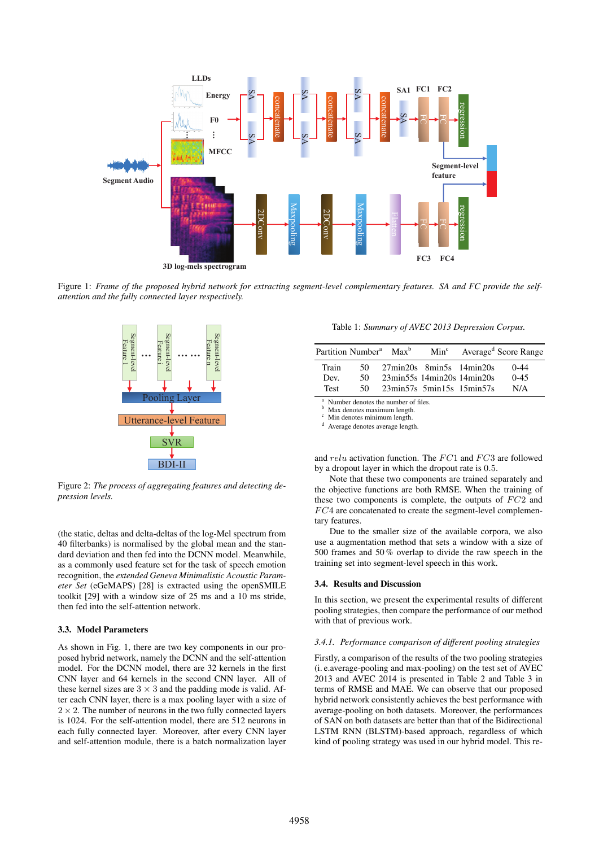

Figure 1: *Frame of the proposed hybrid network for extracting segment-level complementary features. SA and FC provide the selfattention and the fully connected layer respectively.*



Figure 2: *The process of aggregating features and detecting depression levels.*

(the static, deltas and delta-deltas of the log-Mel spectrum from 40 filterbanks) is normalised by the global mean and the standard deviation and then fed into the DCNN model. Meanwhile, as a commonly used feature set for the task of speech emotion recognition, the *extended Geneva Minimalistic Acoustic Parameter Set* (eGeMAPS) [28] is extracted using the openSMILE toolkit [29] with a window size of 25 ms and a 10 ms stride, then fed into the self-attention network.

#### 3.3. Model Parameters

As shown in Fig. 1, there are two key components in our proposed hybrid network, namely the DCNN and the self-attention model. For the DCNN model, there are 32 kernels in the first CNN layer and 64 kernels in the second CNN layer. All of these kernel sizes are  $3 \times 3$  and the padding mode is valid. After each CNN layer, there is a max pooling layer with a size of  $2 \times 2$ . The number of neurons in the two fully connected layers is 1024. For the self-attention model, there are 512 neurons in each fully connected layer. Moreover, after every CNN layer and self-attention module, there is a batch normalization layer

Table 1: *Summary of AVEC 2013 Depression Corpus.*

|             | Partition Number <sup>a</sup> | $Max^b$ | Min <sup>c</sup>                                      |                                                                             | Average <sup>d</sup> Score Range |
|-------------|-------------------------------|---------|-------------------------------------------------------|-----------------------------------------------------------------------------|----------------------------------|
| Train       | 50                            |         | $27\text{min}20s$ 8 $\text{min}5s$ 14 $\text{min}20s$ |                                                                             | $0 - 44$                         |
| Dev.        | 50.                           |         | 23min55s 14min20s 14min20s                            |                                                                             | $0 - 45$                         |
| <b>Test</b> | 50.                           |         |                                                       | $23\text{min}57\text{s}$ 5 $\text{min}15\text{s}$ 15 $\text{min}57\text{s}$ | N/A                              |

 $\frac{a}{b}$ . Number denotes the number of files.

Max denotes maximum length.

Min denotes minimum length.

Average denotes average length.

and  $relu$  activation function. The  $FC1$  and  $FC3$  are followed by a dropout layer in which the dropout rate is 0.5.

Note that these two components are trained separately and the objective functions are both RMSE. When the training of these two components is complete, the outputs of  $FC2$  and  $FC4$  are concatenated to create the segment-level complementary features.

Due to the smaller size of the available corpora, we also use a augmentation method that sets a window with a size of 500 frames and 50 % overlap to divide the raw speech in the training set into segment-level speech in this work.

#### 3.4. Results and Discussion

In this section, we present the experimental results of different pooling strategies, then compare the performance of our method with that of previous work.

#### *3.4.1. Performance comparison of different pooling strategies*

Firstly, a comparison of the results of the two pooling strategies (i. e.average-pooling and max-pooling) on the test set of AVEC 2013 and AVEC 2014 is presented in Table 2 and Table 3 in terms of RMSE and MAE. We can observe that our proposed hybrid network consistently achieves the best performance with average-pooling on both datasets. Moreover, the performances of SAN on both datasets are better than that of the Bidirectional LSTM RNN (BLSTM)-based approach, regardless of which kind of pooling strategy was used in our hybrid model. This re-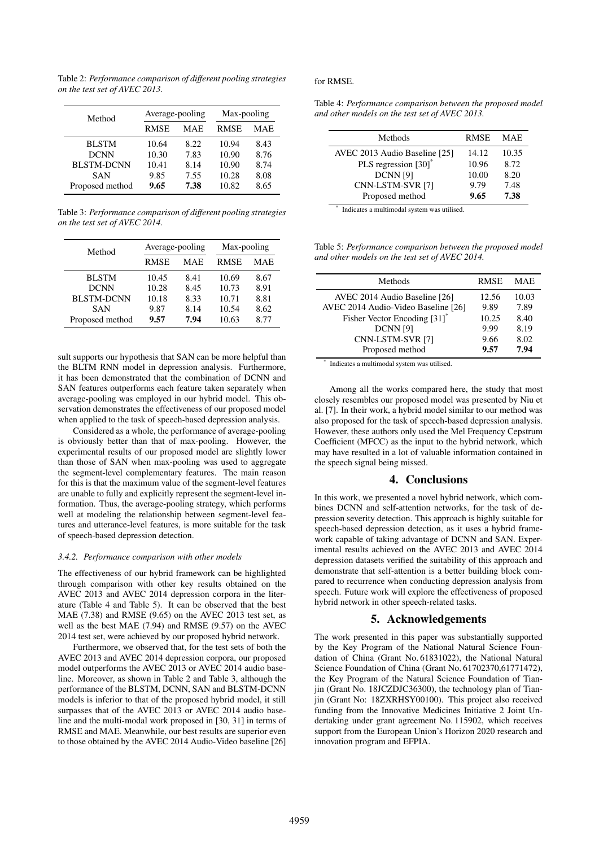Table 2: *Performance comparison of different pooling strategies on the test set of AVEC 2013.*

| Method            | Average-pooling |      | Max-pooling |      |
|-------------------|-----------------|------|-------------|------|
|                   | <b>RMSE</b>     | MAE  | <b>RMSE</b> | MAE  |
| <b>BLSTM</b>      | 10.64           | 8.22 | 10.94       | 8.43 |
| <b>DCNN</b>       | 10.30           | 7.83 | 10.90       | 8.76 |
| <b>BLSTM-DCNN</b> | 10.41           | 8.14 | 10.90       | 8.74 |
| <b>SAN</b>        | 9.85            | 7.55 | 10.28       | 8.08 |
| Proposed method   | 9.65            | 7.38 | 10.82       | 8.65 |

Table 3: *Performance comparison of different pooling strategies on the test set of AVEC 2014.*

| Method            | Average-pooling |      | Max-pooling |      |
|-------------------|-----------------|------|-------------|------|
|                   | <b>RMSE</b>     | MAE  | <b>RMSE</b> | MAE  |
| <b>BLSTM</b>      | 10.45           | 8.41 | 10.69       | 8.67 |
| <b>DCNN</b>       | 10.28           | 8.45 | 10.73       | 8.91 |
| <b>BLSTM-DCNN</b> | 10.18           | 8.33 | 10.71       | 8.81 |
| <b>SAN</b>        | 9.87            | 8.14 | 10.54       | 8.62 |
| Proposed method   | 9.57            | 7.94 | 10.63       | 8.77 |

sult supports our hypothesis that SAN can be more helpful than the BLTM RNN model in depression analysis. Furthermore, it has been demonstrated that the combination of DCNN and SAN features outperforms each feature taken separately when average-pooling was employed in our hybrid model. This observation demonstrates the effectiveness of our proposed model when applied to the task of speech-based depression analysis.

Considered as a whole, the performance of average-pooling is obviously better than that of max-pooling. However, the experimental results of our proposed model are slightly lower than those of SAN when max-pooling was used to aggregate the segment-level complementary features. The main reason for this is that the maximum value of the segment-level features are unable to fully and explicitly represent the segment-level information. Thus, the average-pooling strategy, which performs well at modeling the relationship between segment-level features and utterance-level features, is more suitable for the task of speech-based depression detection.

#### *3.4.2. Performance comparison with other models*

The effectiveness of our hybrid framework can be highlighted through comparison with other key results obtained on the AVEC 2013 and AVEC 2014 depression corpora in the literature (Table 4 and Table 5). It can be observed that the best MAE (7.38) and RMSE (9.65) on the AVEC 2013 test set, as well as the best MAE (7.94) and RMSE (9.57) on the AVEC 2014 test set, were achieved by our proposed hybrid network.

Furthermore, we observed that, for the test sets of both the AVEC 2013 and AVEC 2014 depression corpora, our proposed model outperforms the AVEC 2013 or AVEC 2014 audio baseline. Moreover, as shown in Table 2 and Table 3, although the performance of the BLSTM, DCNN, SAN and BLSTM-DCNN models is inferior to that of the proposed hybrid model, it still surpasses that of the AVEC 2013 or AVEC 2014 audio baseline and the multi-modal work proposed in [30, 31] in terms of RMSE and MAE. Meanwhile, our best results are superior even to those obtained by the AVEC 2014 Audio-Video baseline [26]

#### for RMSE.

| Table 4: Performance comparison between the proposed model |  |
|------------------------------------------------------------|--|
| and other models on the test set of AVEC 2013.             |  |

| Methods                       | <b>RMSE</b> | <b>MAE</b> |
|-------------------------------|-------------|------------|
| AVEC 2013 Audio Baseline [25] | 14.12       | 10.35      |
| PLS regression [30]*          | 10.96       | 8.72       |
| <b>DCNN</b> [9]               | 10.00       | 8.20       |
| CNN-LSTM-SVR [7]              | 9.79        | 7.48       |
| Proposed method               | 9.65        | 7.38       |

\* Indicates a multimodal system was utilised.

Table 5: *Performance comparison between the proposed model and other models on the test set of AVEC 2014.*

| Methods                                  | <b>RMSE</b> | MAE.  |
|------------------------------------------|-------------|-------|
| AVEC 2014 Audio Baseline [26]            | 12.56       | 10.03 |
| AVEC 2014 Audio-Video Baseline [26]      | 9.89        | 7.89  |
| Fisher Vector Encoding [31] <sup>*</sup> | 10.25       | 8.40  |
| <b>DCNN</b> [9]                          | 9.99        | 8.19  |
| CNN-LSTM-SVR [7]                         | 9.66        | 8.02  |
| Proposed method                          | 9.57        | 7.94  |

\* Indicates a multimodal system was utilised.

Among all the works compared here, the study that most closely resembles our proposed model was presented by Niu et al. [7]. In their work, a hybrid model similar to our method was also proposed for the task of speech-based depression analysis. However, these authors only used the Mel Frequency Cepstrum Coefficient (MFCC) as the input to the hybrid network, which may have resulted in a lot of valuable information contained in the speech signal being missed.

#### 4. Conclusions

In this work, we presented a novel hybrid network, which combines DCNN and self-attention networks, for the task of depression severity detection. This approach is highly suitable for speech-based depression detection, as it uses a hybrid framework capable of taking advantage of DCNN and SAN. Experimental results achieved on the AVEC 2013 and AVEC 2014 depression datasets verified the suitability of this approach and demonstrate that self-attention is a better building block compared to recurrence when conducting depression analysis from speech. Future work will explore the effectiveness of proposed hybrid network in other speech-related tasks.

## 5. Acknowledgements

The work presented in this paper was substantially supported by the Key Program of the National Natural Science Foundation of China (Grant No. 61831022), the National Natural Science Foundation of China (Grant No. 61702370,61771472), the Key Program of the Natural Science Foundation of Tianjin (Grant No. 18JCZDJC36300), the technology plan of Tianjin (Grant No: 18ZXRHSY00100). This project also received funding from the Innovative Medicines Initiative 2 Joint Undertaking under grant agreement No. 115902, which receives support from the European Union's Horizon 2020 research and innovation program and EFPIA.